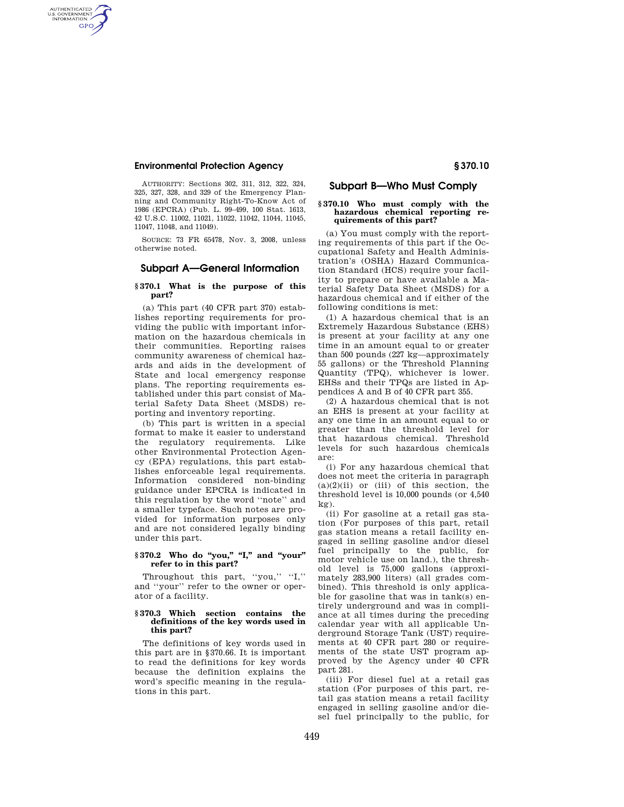# **Environmental Protection Agency § 370.10**

AUTHENTICATED<br>U.S. GOVERNMENT<br>INFORMATION **GPO** 

> AUTHORITY: Sections 302, 311, 312, 322, 324, 325, 327, 328, and 329 of the Emergency Planning and Community Right-To-Know Act of 1986 (EPCRA) (Pub. L. 99–499, 100 Stat. 1613, 42 U.S.C. 11002, 11021, 11022, 11042, 11044, 11045, 11047, 11048, and 11049).

> SOURCE: 73 FR 65478, Nov. 3, 2008, unless otherwise noted.

# **Subpart A—General Information**

# **§ 370.1 What is the purpose of this part?**

(a) This part (40 CFR part 370) establishes reporting requirements for providing the public with important information on the hazardous chemicals in their communities. Reporting raises community awareness of chemical hazards and aids in the development of State and local emergency response plans. The reporting requirements established under this part consist of Material Safety Data Sheet (MSDS) reporting and inventory reporting.

(b) This part is written in a special format to make it easier to understand the regulatory requirements. Like other Environmental Protection Agency (EPA) regulations, this part establishes enforceable legal requirements. Information considered non-binding guidance under EPCRA is indicated in this regulation by the word ''note'' and a smaller typeface. Such notes are provided for information purposes only and are not considered legally binding under this part.

# § 370.2 Who do "you," "I," and "your" **refer to in this part?**

Throughout this part, "you," "I," and ''your'' refer to the owner or operator of a facility.

## **§ 370.3 Which section contains the definitions of the key words used in this part?**

The definitions of key words used in this part are in §370.66. It is important to read the definitions for key words because the definition explains the word's specific meaning in the regulations in this part.

# **Subpart B—Who Must Comply**

#### **§ 370.10 Who must comply with the hazardous chemical reporting requirements of this part?**

(a) You must comply with the reporting requirements of this part if the Occupational Safety and Health Administration's (OSHA) Hazard Communication Standard (HCS) require your facility to prepare or have available a Material Safety Data Sheet (MSDS) for a hazardous chemical and if either of the following conditions is met:

(1) A hazardous chemical that is an Extremely Hazardous Substance (EHS) is present at your facility at any one time in an amount equal to or greater than 500 pounds (227 kg—approximately 55 gallons) or the Threshold Planning Quantity (TPQ), whichever is lower. EHSs and their TPQs are listed in Appendices A and B of 40 CFR part 355.

(2) A hazardous chemical that is not an EHS is present at your facility at any one time in an amount equal to or greater than the threshold level for that hazardous chemical. Threshold levels for such hazardous chemicals are:

(i) For any hazardous chemical that does not meet the criteria in paragraph  $(a)(2)(ii)$  or (iii) of this section, the threshold level is 10,000 pounds (or 4,540 kg).

(ii) For gasoline at a retail gas station (For purposes of this part, retail gas station means a retail facility engaged in selling gasoline and/or diesel fuel principally to the public, for motor vehicle use on land.), the threshold level is 75,000 gallons (approximately 283,900 liters) (all grades combined). This threshold is only applicable for gasoline that was in tank(s) entirely underground and was in compliance at all times during the preceding calendar year with all applicable Underground Storage Tank (UST) requirements at 40 CFR part 280 or requirements of the state UST program approved by the Agency under 40 CFR part 281.

(iii) For diesel fuel at a retail gas station (For purposes of this part, retail gas station means a retail facility engaged in selling gasoline and/or diesel fuel principally to the public, for